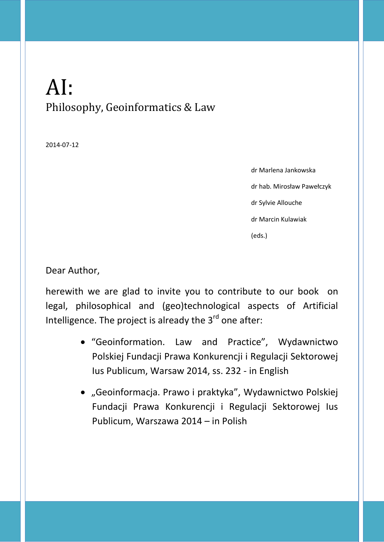## AI: Philosophy, Geoinformatics & Law

2014-07-12

dr Marlena Jankowska dr hab. Mirosław Pawełczyk dr Sylvie Allouche dr Marcin Kulawiak (eds.)

Dear Author,

herewith we are glad to invite you to contribute to our book on legal, philosophical and (geo)technological aspects of Artificial Intelligence. The project is already the 3<sup>rd</sup> one after:

- "Geoinformation. Law and Practice", Wydawnictwo Polskiej Fundacji Prawa Konkurencji i Regulacji Sektorowej Ius Publicum, Warsaw 2014, ss. 232 - in English
- "Geoinformacja. Prawo i praktyka", Wydawnictwo Polskiej Fundacji Prawa Konkurencji i Regulacji Sektorowej Ius Publicum, Warszawa 2014 – in Polish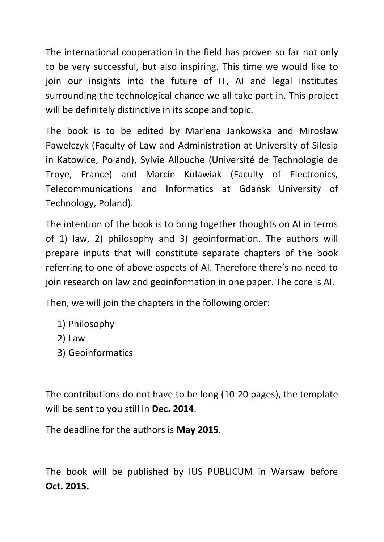The international cooperation in the field has proven so far not only to be very successful, but also inspiring. This time we would like to join our insights into the future of IT, AI and legal institutes surrounding the technological chance we all take part in. This project will be definitely distinctive in its scope and topic.

The book is to be edited by Marlena Jankowska and Mirosław Pawełczyk (Faculty of Law and Administration at University of Silesia in Katowice, Poland), Sylvie Allouche (Université de Technologie de Troye, France) and Marcin Kulawiak (Faculty of Electronics, Telecommunications and Informatics at Gdańsk University of Technology, Poland).

The intention of the book is to bring together thoughts on AI in terms of 1) law, 2) philosophy and 3) geoinformation. The authors will prepare inputs that will constitute separate chapters of the book referring to one of above aspects of AI. Therefore there's no need to join research on law and geoinformation in one paper. The core is AI.

Then, we will join the chapters in the following order:

- 1) Philosophy
- 2) Law
- 3) Geoinformatics

The contributions do not have to be long (10-20 pages), the template will be sent to you still in **Dec. 2014**.

The deadline for the authors is **May 2015**.

The book will be published by IUS PUBLICUM in Warsaw before **Oct. 2015.**